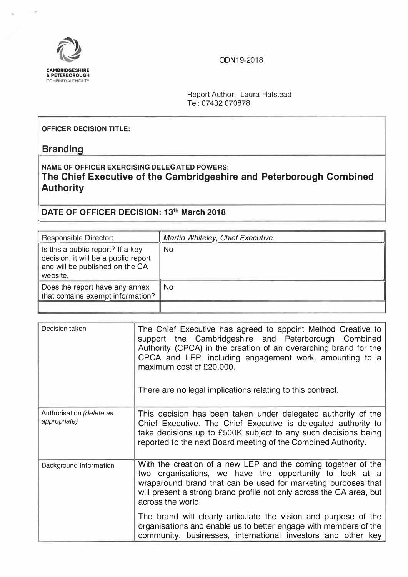ODN19-2018



Report Author: Laura Halstead Tel: 07432 070878

## **OFFICER DECISION TITLE:**

## **Branding**

**I**<br>I

## **NAME OF OFFICER EXERCISING DELEGATED POWERS: The Chief Executive of the Cambridgeshire and Peterborough Combined Authority**

**[ DATE OF OFFICER DECISION: 13th March 2018** 

| Responsible Director:                                                                                                    | Martin Whiteley, Chief Executive |
|--------------------------------------------------------------------------------------------------------------------------|----------------------------------|
| Is this a public report? If a key<br>decision, it will be a public report<br>and will be published on the CA<br>website. | No                               |
| Does the report have any annex<br>that contains exempt information?                                                      | N <sub>O</sub>                   |
|                                                                                                                          |                                  |

| Decision taken                           | The Chief Executive has agreed to appoint Method Creative to<br>support the Cambridgeshire and Peterborough Combined<br>Authority (CPCA) in the creation of an overarching brand for the<br>CPCA and LEP, including engagement work, amounting to a<br>maximum cost of £20,000.<br>There are no legal implications relating to this contract. |
|------------------------------------------|-----------------------------------------------------------------------------------------------------------------------------------------------------------------------------------------------------------------------------------------------------------------------------------------------------------------------------------------------|
| Authorisation (delete as<br>appropriate) | This decision has been taken under delegated authority of the<br>Chief Executive. The Chief Executive is delegated authority to<br>take decisions up to £500K subject to any such decisions being<br>reported to the next Board meeting of the Combined Authority.                                                                            |
| Background Information                   | With the creation of a new LEP and the coming together of the<br>two organisations, we have the opportunity to look at a<br>wraparound brand that can be used for marketing purposes that<br>will present a strong brand profile not only across the CA area, but<br>across the world.                                                        |
|                                          | The brand will clearly articulate the vision and purpose of the<br>organisations and enable us to better engage with members of the<br>community, businesses, international investors and other key                                                                                                                                           |